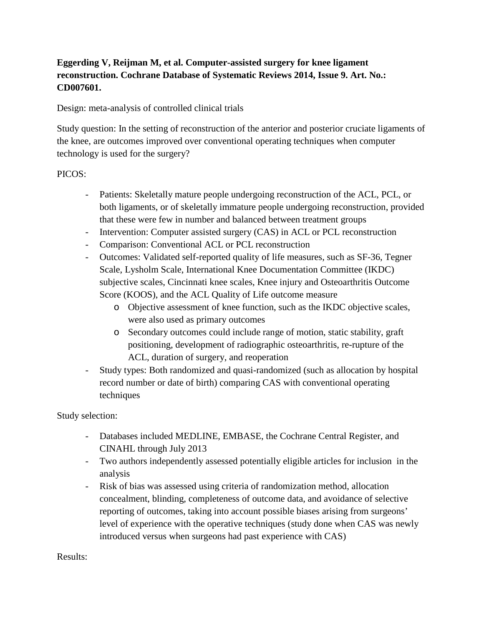## **Eggerding V, Reijman M, et al. Computer-assisted surgery for knee ligament reconstruction. Cochrane Database of Systematic Reviews 2014, Issue 9. Art. No.: CD007601.**

Design: meta-analysis of controlled clinical trials

Study question: In the setting of reconstruction of the anterior and posterior cruciate ligaments of the knee, are outcomes improved over conventional operating techniques when computer technology is used for the surgery?

## PICOS:

- Patients: Skeletally mature people undergoing reconstruction of the ACL, PCL, or both ligaments, or of skeletally immature people undergoing reconstruction, provided that these were few in number and balanced between treatment groups
- Intervention: Computer assisted surgery (CAS) in ACL or PCL reconstruction
- Comparison: Conventional ACL or PCL reconstruction
- Outcomes: Validated self-reported quality of life measures, such as SF-36, Tegner Scale, Lysholm Scale, International Knee Documentation Committee (IKDC) subjective scales, Cincinnati knee scales, Knee injury and Osteoarthritis Outcome Score (KOOS), and the ACL Quality of Life outcome measure
	- o Objective assessment of knee function, such as the IKDC objective scales, were also used as primary outcomes
	- o Secondary outcomes could include range of motion, static stability, graft positioning, development of radiographic osteoarthritis, re-rupture of the ACL, duration of surgery, and reoperation
- Study types: Both randomized and quasi-randomized (such as allocation by hospital record number or date of birth) comparing CAS with conventional operating techniques

Study selection:

- Databases included MEDLINE, EMBASE, the Cochrane Central Register, and CINAHL through July 2013
- Two authors independently assessed potentially eligible articles for inclusion in the analysis
- Risk of bias was assessed using criteria of randomization method, allocation concealment, blinding, completeness of outcome data, and avoidance of selective reporting of outcomes, taking into account possible biases arising from surgeons' level of experience with the operative techniques (study done when CAS was newly introduced versus when surgeons had past experience with CAS)

Results: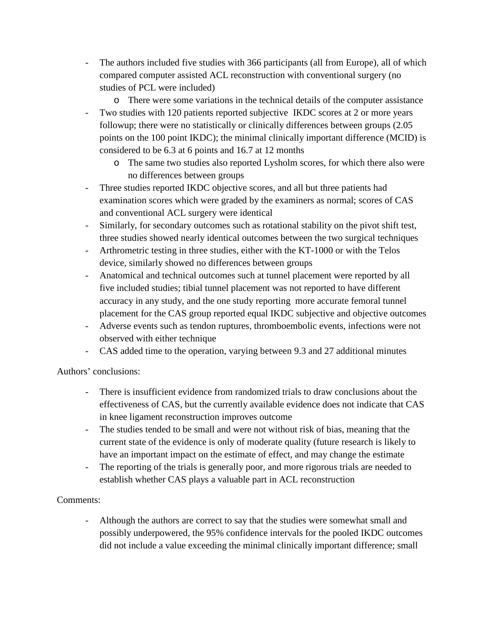- The authors included five studies with 366 participants (all from Europe), all of which compared computer assisted ACL reconstruction with conventional surgery (no studies of PCL were included)
	- o There were some variations in the technical details of the computer assistance
- Two studies with 120 patients reported subjective IKDC scores at 2 or more years followup; there were no statistically or clinically differences between groups (2.05 points on the 100 point IKDC); the minimal clinically important difference (MCID) is considered to be 6.3 at 6 points and 16.7 at 12 months
	- o The same two studies also reported Lysholm scores, for which there also were no differences between groups
- Three studies reported IKDC objective scores, and all but three patients had examination scores which were graded by the examiners as normal; scores of CAS and conventional ACL surgery were identical
- Similarly, for secondary outcomes such as rotational stability on the pivot shift test, three studies showed nearly identical outcomes between the two surgical techniques
- Arthrometric testing in three studies, either with the KT-1000 or with the Telos device, similarly showed no differences between groups
- Anatomical and technical outcomes such at tunnel placement were reported by all five included studies; tibial tunnel placement was not reported to have different accuracy in any study, and the one study reporting more accurate femoral tunnel placement for the CAS group reported equal IKDC subjective and objective outcomes
- Adverse events such as tendon ruptures, thromboembolic events, infections were not observed with either technique
- CAS added time to the operation, varying between 9.3 and 27 additional minutes

Authors' conclusions:

- There is insufficient evidence from randomized trials to draw conclusions about the effectiveness of CAS, but the currently available evidence does not indicate that CAS in knee ligament reconstruction improves outcome
- The studies tended to be small and were not without risk of bias, meaning that the current state of the evidence is only of moderate quality (future research is likely to have an important impact on the estimate of effect, and may change the estimate
- The reporting of the trials is generally poor, and more rigorous trials are needed to establish whether CAS plays a valuable part in ACL reconstruction

## Comments:

- Although the authors are correct to say that the studies were somewhat small and possibly underpowered, the 95% confidence intervals for the pooled IKDC outcomes did not include a value exceeding the minimal clinically important difference; small